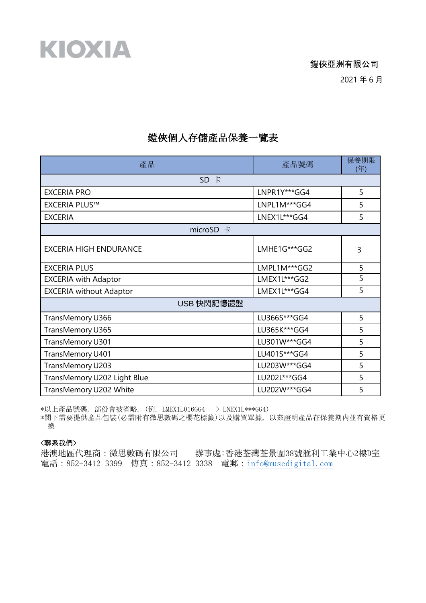鎧俠亞洲有限公司

2021 年 6 月

## 鎧俠個人存儲產品保養一覽表

| 產品                             | 產品號碼           | 保養期限<br>(年) |  |
|--------------------------------|----------------|-------------|--|
| SD 卡                           |                |             |  |
| <b>EXCERIA PRO</b>             | LNPR1Y***GG4   | 5           |  |
| <b>EXCERIA PLUS™</b>           | LNPL1M***GG4   | 5           |  |
| <b>EXCERIA</b>                 | LNEX1L***GG4   | 5           |  |
| microSD $+$                    |                |             |  |
| <b>EXCERIA HIGH ENDURANCE</b>  | LMHE1G***GG2   | 3           |  |
| <b>EXCERIA PLUS</b>            | LMPL1M***GG2   | 5           |  |
| <b>EXCERIA with Adaptor</b>    | LMEX1L***GG2   | 5           |  |
| <b>EXCERIA without Adaptor</b> | LMEX1L***GG4   | 5           |  |
| USB 快閃記憶體盤                     |                |             |  |
| TransMemory U366               | LU366S***GG4   | 5           |  |
| TransMemory U365               | LU365K***GG4   | 5           |  |
| TransMemory U301               | LU301W***GG4   | 5           |  |
| TransMemory U401               | LU401S***GG4   | 5           |  |
| TransMemory U203               | LU203W *** GG4 | 5           |  |
| TransMemory U202 Light Blue    | LU202L***GG4   | 5           |  |
| TransMemory U202 White         | LU202W***GG4   | 5           |  |

\*以上產品號碼, 部份會被省略. (例. LMEX1L016GG4 --> LNEX1L\*\*\*GG4)

\*閤下需要提供產品包裝(必需附有微思數碼之櫻花標籤)以及購買單據, 以茲證明產品在保養期內並有資格更 換

#### <聯系我們>

KIOXIA

港澳地區代理商:微思數碼有限公司 辦事處:香港荃灣荃景圍38號滙利工業中心2樓D室 電話:852-3412 3399 傳真:852-3412 3338 電郵:[info@musedigital.com](mailto:info@musedigital.com)